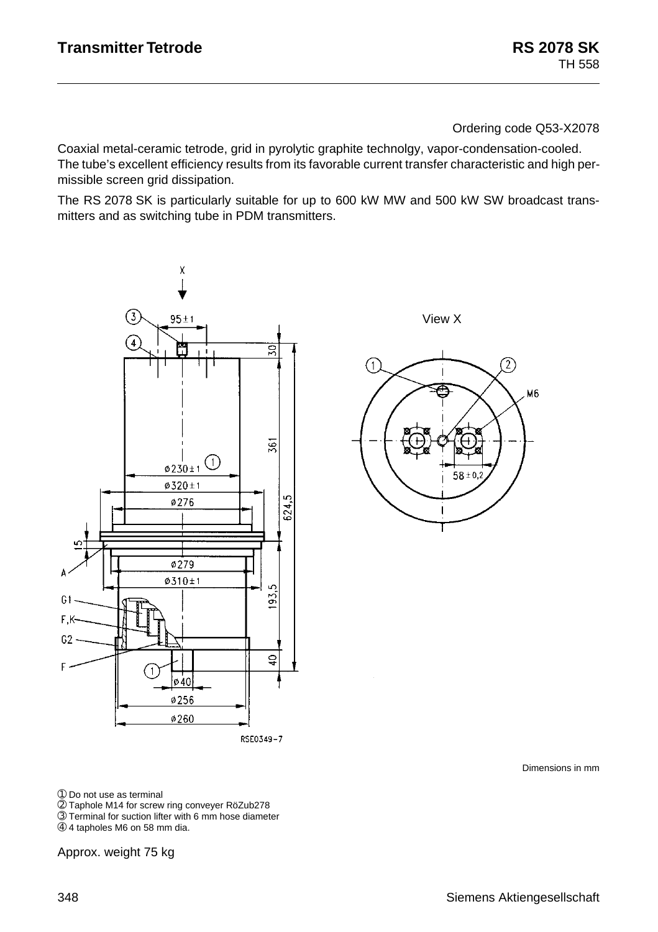Ordering code Q53-X2078

Coaxial metal-ceramic tetrode, grid in pyrolytic graphite technolgy, vapor-condensation-cooled. The tube's excellent efficiency results from its favorable current transfer characteristic and high permissible screen grid dissipation.

The RS 2078 SK is particularly suitable for up to 600 kW MW and 500 kW SW broadcast transmitters and as switching tube in PDM transmitters.



View X



Dimensions in mm

➀ Do not use as terminal

➁ Taphole M14 for screw ring conveyer RöZub278

➂ Terminal for suction lifter with 6 mm hose diameter

➃ 4 tapholes M6 on 58 mm dia.

Approx. weight 75 kg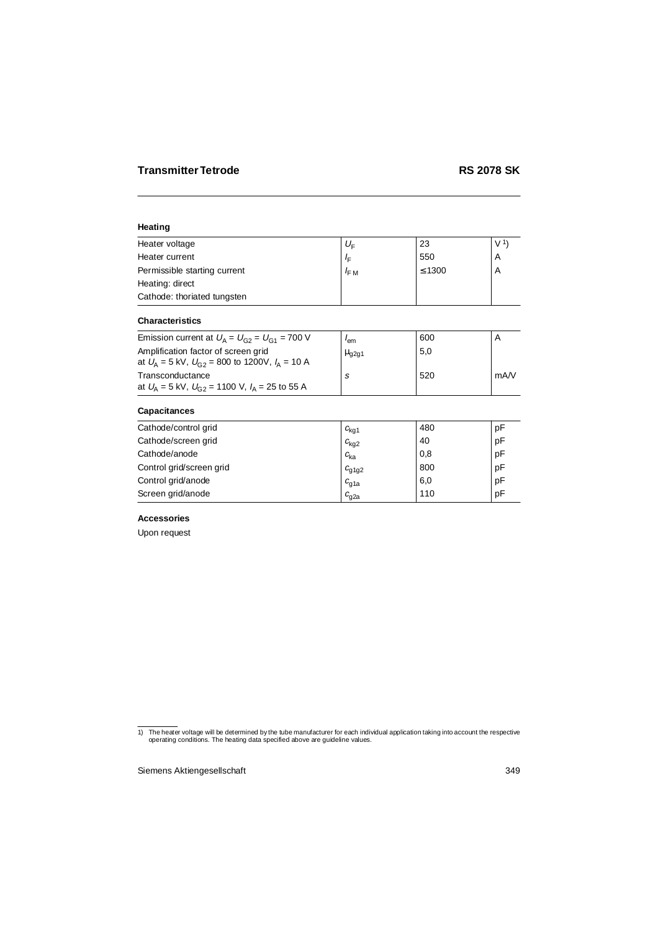## **Heating**

| Heater voltage               | $U_{\rm F}$      | 23          | V <sup>1</sup> |
|------------------------------|------------------|-------------|----------------|
| Heater current               | ΙF               | 550         | A              |
| Permissible starting current | $I_{\text{F} M}$ | $\leq 1300$ | A              |
| Heating: direct              |                  |             |                |
| Cathode: thoriated tungsten  |                  |             |                |

# **Characteristics**

| Emission current at $U_A = U_{G2} = U_{G1} = 700$ V                                           | lem                   | 600 |      |
|-----------------------------------------------------------------------------------------------|-----------------------|-----|------|
| Amplification factor of screen grid<br>at $U_A = 5$ kV, $U_{G2} = 800$ to 1200V, $I_A = 10$ A | $\mu$ <sub>g2g1</sub> | 5,0 |      |
| Transconductance                                                                              |                       | 520 | mA/V |
| at $U_{\rm A}$ = 5 kV, $U_{\rm G2}$ = 1100 V, $I_{\rm A}$ = 25 to 55 A                        |                       |     |      |

# **Capacitances**

| Cathode/control grid     | $c_{\text{kq1}}$ | 480 | pF |
|--------------------------|------------------|-----|----|
| Cathode/screen grid      | $c_{\text{kq2}}$ | 40  | рF |
| Cathode/anode            | $c_{\rm ka}$     | 0,8 | рF |
| Control grid/screen grid | $c_{q1q2}$       | 800 | pF |
| Control grid/anode       | $c_{q1a}$        | 6,0 | pF |
| Screen grid/anode        | $c_{\rm g2a}$    | 110 | pF |

# **Accessories**

Upon request

<sup>1)</sup> The heater voltage will be determined by the tube manufacturer for each individual application taking into account the respective operating conditions. The heating data specified above are guideline values.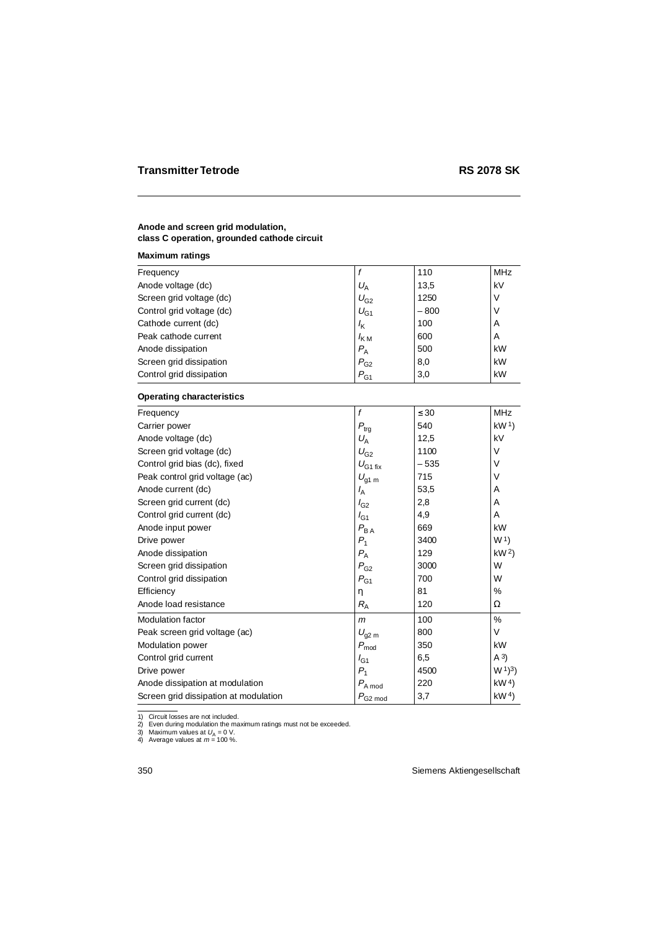## **Anode and screen grid modulation, class C operation, grounded cathode circuit**

### **Maximum ratings**

|                  |        | <b>MHz</b> |
|------------------|--------|------------|
| $U_{\rm A}$      | 13,5   | kV         |
| $U_{G2}$         | 1250   | V          |
| $U_{G1}$         | $-800$ | ν          |
| $I_{\mathsf{K}}$ | 100    | A          |
| $I_{\rm KM}$     | 600    | A          |
| $P_{\rm A}$      | 500    | kW         |
| $P_{G2}$         | 8,0    | kW         |
| $P_{G1}$         | 3,0    | kW         |
|                  |        | 110        |

### **Operating characteristics**

| Frequency                             | f                 | $\leq 30$ | <b>MHz</b>          |
|---------------------------------------|-------------------|-----------|---------------------|
| Carrier power                         | $P_{\rm{trg}}$    | 540       | kW <sup>1</sup>     |
| Anode voltage (dc)                    | $U_{\rm A}$       | 12,5      | kV                  |
| Screen grid voltage (dc)              | $U_{G2}$          | 1100      | V                   |
| Control grid bias (dc), fixed         | $U_{G1fix}$       | $-535$    | V                   |
| Peak control grid voltage (ac)        | $U_{\text{g1 m}}$ | 715       | V                   |
| Anode current (dc)                    | $I_A$             | 53,5      | A                   |
| Screen grid current (dc)              | $I_{G2}$          | 2,8       | A                   |
| Control grid current (dc)             | $I_{G1}$          | 4,9       | A                   |
| Anode input power                     | $P_{\mathsf{BA}}$ | 669       | kW                  |
| Drive power                           | $P_1$             | 3400      | W <sup>1</sup>      |
| Anode dissipation                     | $P_{A}$           | 129       | kW <sup>2</sup>     |
| Screen grid dissipation               | $P_{G2}$          | 3000      | W                   |
| Control grid dissipation              | $P_{G1}$          | 700       | W                   |
| Efficiency                            | η                 | 81        | %                   |
| Anode load resistance                 | $R_{\rm A}$       | 120       | Ω                   |
| Modulation factor                     | $\mathsf{m}$      | 100       | $\%$                |
| Peak screen grid voltage (ac)         | $U_{\text{q2 m}}$ | 800       | V                   |
| <b>Modulation power</b>               | $P_{\rm mod}$     | 350       | kW                  |
| Control grid current                  | $I_{G1}$          | 6,5       | (A <sup>3</sup> )   |
| Drive power                           | $P_1$             | 4500      | $W1$ <sup>3</sup> ) |
| Anode dissipation at modulation       | $P_{A \bmod}$     | 220       | kW <sup>4</sup>     |
| Screen grid dissipation at modulation | $P_{\rm G2\ mod}$ | 3,7       | kW <sup>4</sup>     |

1) Circuit losses are not included.

2) Even during modulation the maximum ratings must not be exceeded.

3) Maximum values at  $U_\mathrm{A}$  = 0 V.<br>4) Average values at  $m$  = 100 %.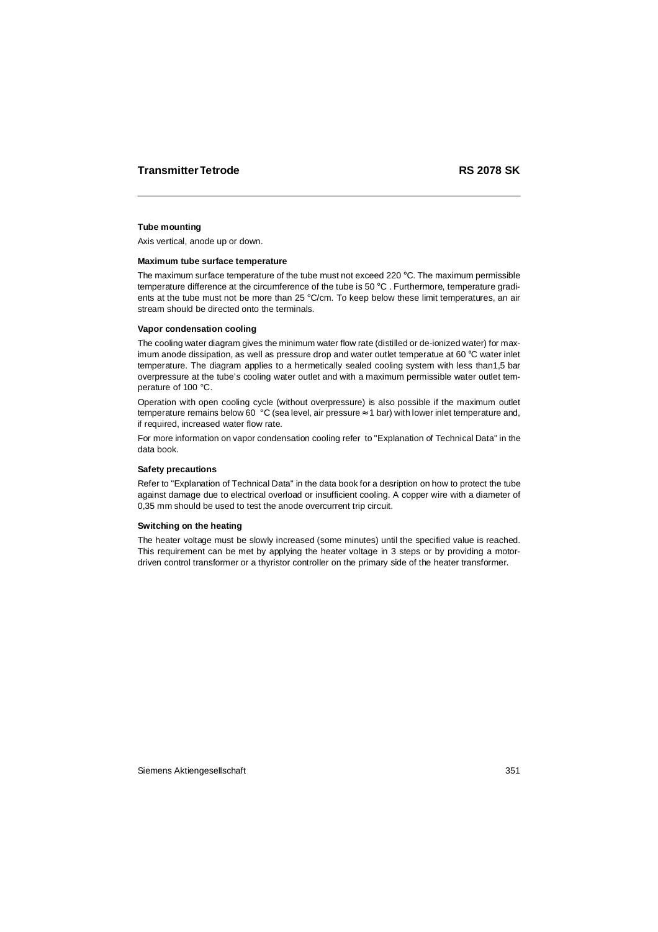### **Tube mounting**

Axis vertical, anode up or down.

#### **Maximum tube surface temperature**

The maximum surface temperature of the tube must not exceed 220 °C. The maximum permissible temperature difference at the circumference of the tube is 50 °C . Furthermore, temperature gradients at the tube must not be more than 25  $\degree$ C/cm. To keep below these limit temperatures, an air stream should be directed onto the terminals.

### **Vapor condensation cooling**

The cooling water diagram gives the minimum water flow rate (distilled or de-ionized water) for maximum anode dissipation, as well as pressure drop and water outlet temperatue at 60 $\degree$ C water inlet temperature. The diagram applies to a hermetically sealed cooling system with less than1,5 bar overpressure at the tube's cooling water outlet and with a maximum permissible water outlet temperature of 100 °C.

Operation with open cooling cycle (without overpressure) is also possible if the maximum outlet temperature remains below 60  $\degree$ C (sea level, air pressure  $\approx$  1 bar) with lower inlet temperature and, if required, increased water flow rate.

For more information on vapor condensation cooling refer to "Explanation of Technical Data" in the data book.

#### **Safety precautions**

Refer to "Explanation of Technical Data" in the data book for a desription on how to protect the tube against damage due to electrical overload or insufficient cooling. A copper wire with a diameter of 0,35 mm should be used to test the anode overcurrent trip circuit.

### **Switching on the heating**

The heater voltage must be slowly increased (some minutes) until the specified value is reached. This requirement can be met by applying the heater voltage in 3 steps or by providing a motordriven control transformer or a thyristor controller on the primary side of the heater transformer.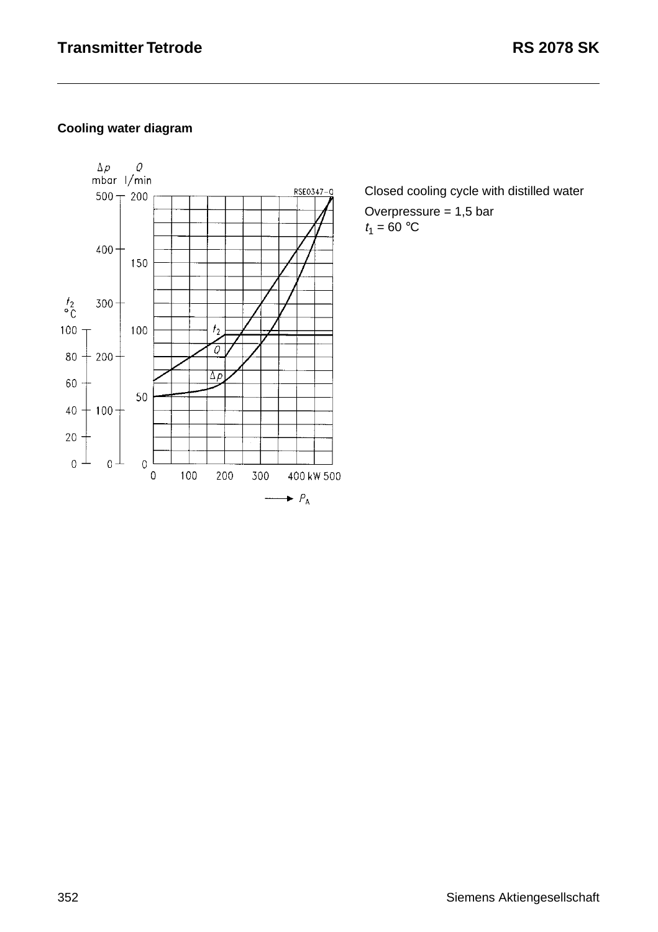# **Cooling water diagram**



Closed cooling cycle with distilled water

Overpressure  $= 1,5$  bar  $t_1 = 60 °C$